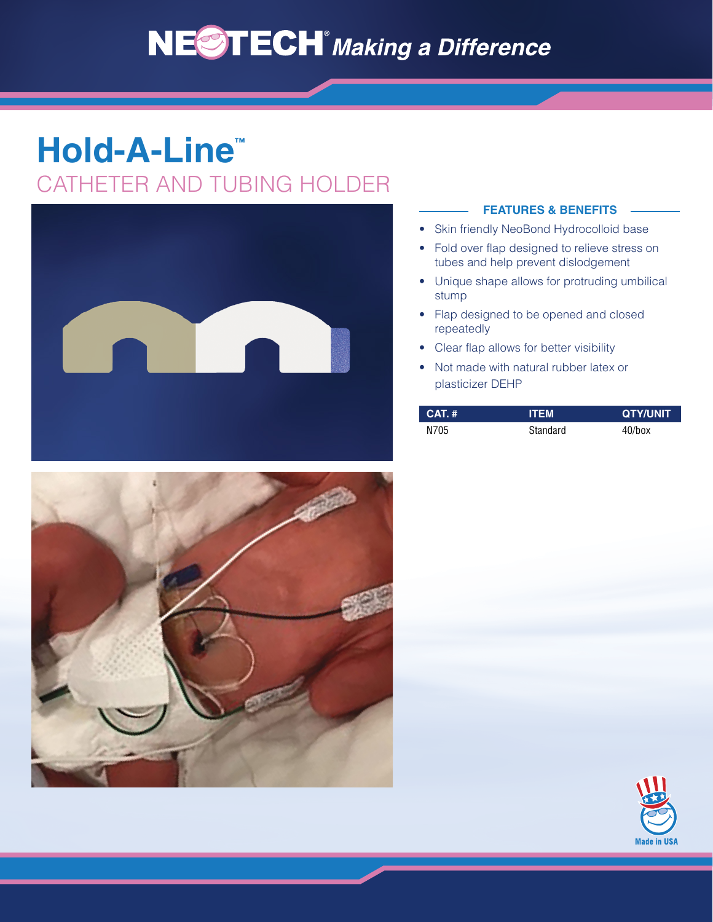# NESTECH<sup>®</sup> Making a Difference

## **Hold-A-Line™** CATHETER AND TUBING HOLDER





#### **FEATURES & BENEFITS**

- Skin friendly NeoBond Hydrocolloid base
- Fold over flap designed to relieve stress on tubes and help prevent dislodgement
- Unique shape allows for protruding umbilical stump
- Flap designed to be opened and closed repeatedly
- Clear flap allows for better visibility
- Not made with natural rubber latex or plasticizer DEHP

| $CAT.$ # | <b>ITEM</b> | <b>QTY/UNIT</b> |
|----------|-------------|-----------------|
| N705     | Standard    | $40$ /box       |